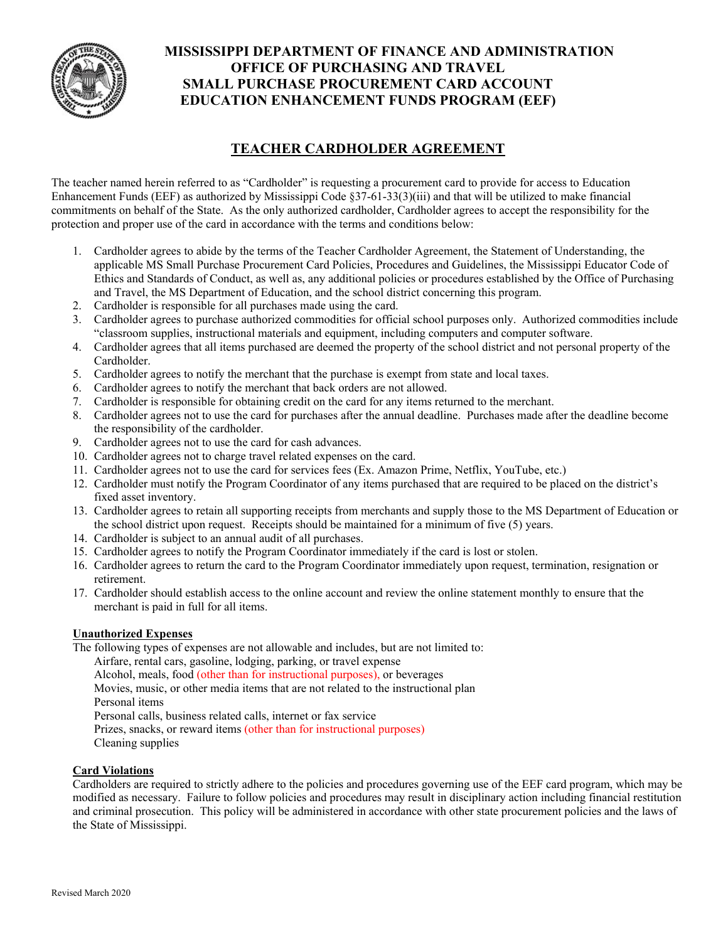

## **MISSISSIPPI DEPARTMENT OF FINANCE AND ADMINISTRATION OFFICE OF PURCHASING AND TRAVEL SMALL PURCHASE PROCUREMENT CARD ACCOUNT EDUCATION ENHANCEMENT FUNDS PROGRAM (EEF)**

# **TEACHER CARDHOLDER AGREEMENT**

The teacher named herein referred to as "Cardholder" is requesting a procurement card to provide for access to Education Enhancement Funds (EEF) as authorized by Mississippi Code §37-61-33(3)(iii) and that will be utilized to make financial commitments on behalf of the State. As the only authorized cardholder, Cardholder agrees to accept the responsibility for the protection and proper use of the card in accordance with the terms and conditions below:

- 1. Cardholder agrees to abide by the terms of the Teacher Cardholder Agreement, the Statement of Understanding, the applicable MS Small Purchase Procurement Card Policies, Procedures and Guidelines, the Mississippi Educator Code of Ethics and Standards of Conduct, as well as, any additional policies or procedures established by the Office of Purchasing and Travel, the MS Department of Education, and the school district concerning this program.
- 2. Cardholder is responsible for all purchases made using the card.
- 3. Cardholder agrees to purchase authorized commodities for official school purposes only. Authorized commodities include "classroom supplies, instructional materials and equipment, including computers and computer software.
- 4. Cardholder agrees that all items purchased are deemed the property of the school district and not personal property of the Cardholder.
- 5. Cardholder agrees to notify the merchant that the purchase is exempt from state and local taxes.
- 6. Cardholder agrees to notify the merchant that back orders are not allowed.
- 7. Cardholder is responsible for obtaining credit on the card for any items returned to the merchant.
- 8. Cardholder agrees not to use the card for purchases after the annual deadline. Purchases made after the deadline become the responsibility of the cardholder.
- 9. Cardholder agrees not to use the card for cash advances.
- 10. Cardholder agrees not to charge travel related expenses on the card.
- 11. Cardholder agrees not to use the card for services fees (Ex. Amazon Prime, Netflix, YouTube, etc.)
- 12. Cardholder must notify the Program Coordinator of any items purchased that are required to be placed on the district's fixed asset inventory.
- 13. Cardholder agrees to retain all supporting receipts from merchants and supply those to the MS Department of Education or the school district upon request. Receipts should be maintained for a minimum of five (5) years.
- 14. Cardholder is subject to an annual audit of all purchases.
- 15. Cardholder agrees to notify the Program Coordinator immediately if the card is lost or stolen.
- 16. Cardholder agrees to return the card to the Program Coordinator immediately upon request, termination, resignation or retirement.
- 17. Cardholder should establish access to the online account and review the online statement monthly to ensure that the merchant is paid in full for all items.

#### **Unauthorized Expenses**

The following types of expenses are not allowable and includes, but are not limited to: Airfare, rental cars, gasoline, lodging, parking, or travel expense Alcohol, meals, food (other than for instructional purposes), or beverages Movies, music, or other media items that are not related to the instructional plan Personal items Personal calls, business related calls, internet or fax service Prizes, snacks, or reward items (other than for instructional purposes) Cleaning supplies

### **Card Violations**

Cardholders are required to strictly adhere to the policies and procedures governing use of the EEF card program, which may be modified as necessary. Failure to follow policies and procedures may result in disciplinary action including financial restitution and criminal prosecution. This policy will be administered in accordance with other state procurement policies and the laws of the State of Mississippi.